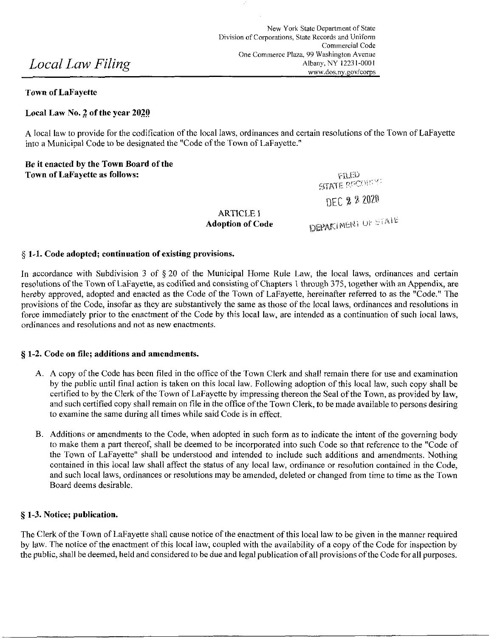## **Town of LaFayette**

# Local Law No. 2 of the year 2020

A local law to provide for the codification of the local laws, ordinances and certain resolutions of the Town of LaFayette into a Municipal Code to be designated the "Code of the Town of LaFayette." into a Municipal Code to be designated the "Code of the Town of LaFayette."

Be it enacted by the Town Board of the

Town of LaFayette as follows:<br>
VERED GENERATE RECOVERED

*DEC % '^^^* 

**ARTICLE I** 

**Adoption of Code neparament of**  $\text{SFR}^{\text{H}}$ 

### **§ 1^1. Code adopted; continuation of existing provisions.**

In accordance with Subdivision 3 of § 20 of the Municipal Home Rule Law, the local laws, ordinances and certain resolutions of the Town of LaFayette, as codified and consisting of Chapters 1 through 375, together with an Appendix, are hereby approved, adopted and enacted as the Code of the Town of LaFayette, hereinafter referred to as the "Code." The provisions of the Code, insofar as they are substantively the same as those of the local laws, ordinances and resolutions in force immediately prior to the enactment of the Code by this local law, are intended as a continuation of such local laws, ordinances and resolutions and not as new enactments.

## **§ 1-2. Code on file; additions and amendments.**

- A. A copy of the Code has been filed in the office of the Town Clerk and shall remain there for use and examination by the public until final action is taken on this local law. Following adoption of this local law, such copy shall be certified to by the Clerk of the Town of LaFayette by impressing thereon the Seal of the Town, as provided by law, and such certified copy shall remain on file in the office of the Town Clerk, to be made available to persons desiring to examine the same during all times while said Code is in effect.
- B. Additions or amendments to the Code, when adopted in such form as to indicate the intent of the governing body to make them a part thereof, shali be deemed to be incorporated into such Code so that reference to the "Code of the Town of LaFayette" shall be understood and intended to include such additions and amendments. Nothing contained in this local law shall affect the status of any local law, ordinance or resolution contained in the Code, and such local laws, ordinances or resolutions may be amended, deleted or changed from time to time as the Town Board deems desirable.

## **§ 1-3. Notice; publication.**

The Clerk of the Town of LaFayette shall cause notice of the enactment of this local law to be given in the manner required by law. The notice of the enactment of this local law, coupled with the availability of a copy of the Code for inspection by the public, shall be deemed, held and considered to be due and legal publication of all provisions of the Code for all purposes.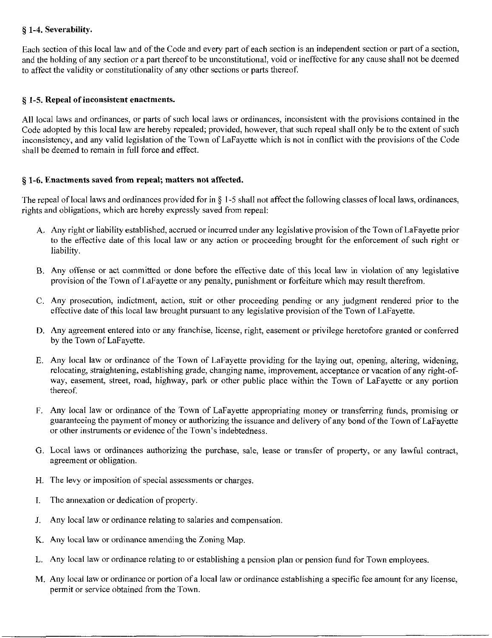# **§ 1-4. Severability.**

Each section of this local iaw and of the Code and every part of each section is an independent section or part of a section, and the holding of any section or a part thereof to be unconstitutional, void or ineffective for any cause shall not be deemed to affect the validity or constitutionality of any other sections or parts thereof

# **§ 1-5. Repeal of inconsistent enactments.**

All local laws and ordinances, or parts of such local laws or ordinances, inconsistent with the provisions contained in the Code adopted by this local law are hereby repealed; provided, however, that such repeal shall only be to the extent of such inconsistency, and any valid legislation of the Town of LaFayette which is not in conflict with the provisions of the Code shall be deemed to remain in full force and effect.

# **§ 1-6. Enactments saved from repeal; matters not affected.**

The repeal of local laws and ordinances provided for in  $\S$  1-5 shall not affect the following classes of local laws, ordinances, rights and obligations, which are hereby expressly saved from repeal:

- A. Any right or liability established, accrued or incurred under any legislative provision of the Town of LaFayette prior to the effective date of this local law or any action or proceeding brought for the enforcement of such right or liability.
- B. Any offense or act committed or done before the effective date of this local law in violation of any legislative provision of the Town of LaFayette or any penalty, punishment or forfeiture which may result therefrom.
- C. Any prosecution, indictment, action, suit or other proceeding pending or any judgment rendered prior to the effective date of this local law brought pursuant to any legislative provision of the Town of LaFayette.
- D. Any agreement entered into or any franchise, license, right, easement or privilege heretofore granted or conferred by the Town of LaFayette.
- E. Any local law or ordinance of the Town of LaFayette providing for the laying out, opening, altering, widening, relocating, straightening, establishing grade, changing name, improvement, acceptance or vacation of any right-ofway, easement, street, road, highway, park or other public place within the Town of LaFayette or any portion thereof
- F. Any local law or ordinance of the Town of LaFayette appropriating money or transferring funds, promising or guaranteeing the payment of money or authorizing the issuance and delivery of any bond of the Town of LaFayette or other instmments or evidence of the Town's indebtedness.
- G. Local laws or ordinances authorizing the purchase, sale, lease or transfer of property, or any lawful contract, agreement or obligation.
- H. The levy or imposition of special assessments or charges.
- I. The annexation or dedication of property.
- J. Any local law or ordinance relating to salaries and compensation.
- K. Any local law or ordinance amending the Zoning Map.
- L. Any locai law or ordinance relating to or establishing a pension plan or pension fund for Town employees.
- M. Any local law or ordinance or portion of a local law or ordinance establishing a specific fee amount for any license, permit or service obtained from the Town.